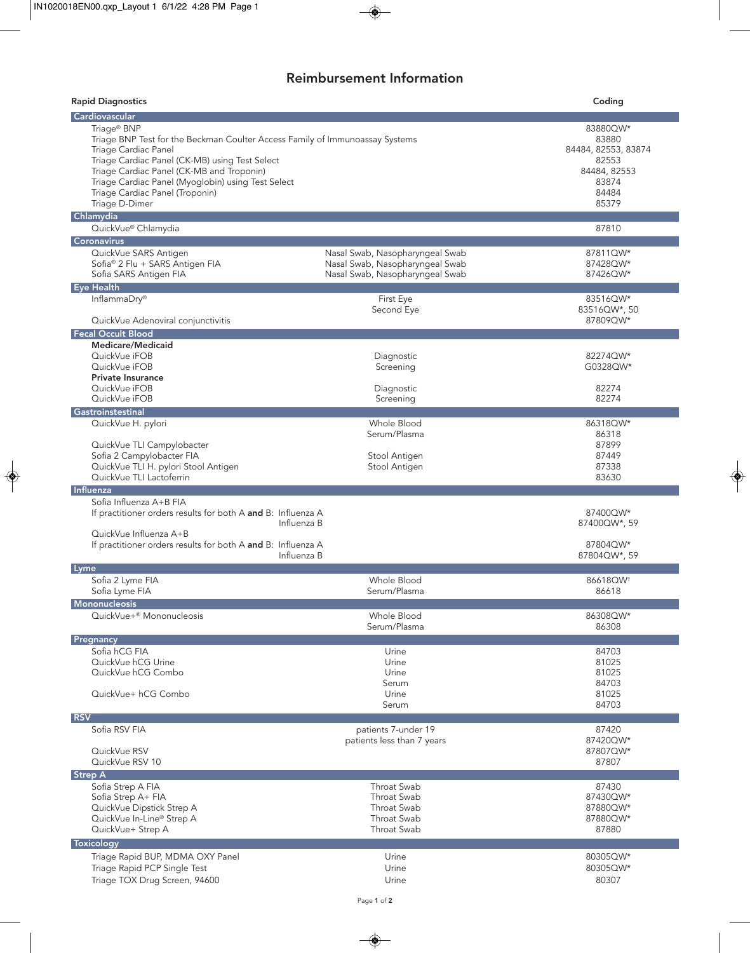# Reimbursement Information

| <b>Rapid Diagnostics</b>                                                                                                                                                                                                                                                                                                                  |                                                                                                       | Coding                                                                                       |
|-------------------------------------------------------------------------------------------------------------------------------------------------------------------------------------------------------------------------------------------------------------------------------------------------------------------------------------------|-------------------------------------------------------------------------------------------------------|----------------------------------------------------------------------------------------------|
| <b>Cardiovascular</b>                                                                                                                                                                                                                                                                                                                     |                                                                                                       |                                                                                              |
| Triage <sup>®</sup> BNP<br>Triage BNP Test for the Beckman Coulter Access Family of Immunoassay Systems<br>Triage Cardiac Panel<br>Triage Cardiac Panel (CK-MB) using Test Select<br>Triage Cardiac Panel (CK-MB and Troponin)<br>Triage Cardiac Panel (Myoglobin) using Test Select<br>Triage Cardiac Panel (Troponin)<br>Triage D-Dimer |                                                                                                       | 83880QW*<br>83880<br>84484, 82553, 83874<br>82553<br>84484, 82553<br>83874<br>84484<br>85379 |
| Chlamydia                                                                                                                                                                                                                                                                                                                                 |                                                                                                       |                                                                                              |
| QuickVue® Chlamydia                                                                                                                                                                                                                                                                                                                       |                                                                                                       | 87810                                                                                        |
| Coronavirus                                                                                                                                                                                                                                                                                                                               |                                                                                                       |                                                                                              |
| QuickVue SARS Antigen<br>Sofia® 2 Flu + SARS Antigen FIA<br>Sofia SARS Antigen FIA                                                                                                                                                                                                                                                        | Nasal Swab, Nasopharyngeal Swab<br>Nasal Swab, Nasopharyngeal Swab<br>Nasal Swab, Nasopharyngeal Swab | 87811QW*<br>87428QW*<br>87426QW*                                                             |
| Eye Health                                                                                                                                                                                                                                                                                                                                |                                                                                                       |                                                                                              |
| InflammaDry®<br>QuickVue Adenoviral conjunctivitis                                                                                                                                                                                                                                                                                        | First Eye<br>Second Eye                                                                               | 83516QW*<br>83516QW*, 50<br>87809QW*                                                         |
| <b>Fecal Occult Blood</b>                                                                                                                                                                                                                                                                                                                 |                                                                                                       |                                                                                              |
| Medicare/Medicaid<br>QuickVue iFOB<br>QuickVue iFOB<br><b>Private Insurance</b>                                                                                                                                                                                                                                                           | Diagnostic<br>Screening                                                                               | 82274QW*<br>G0328QW*                                                                         |
| QuickVue iFOB<br>QuickVue iFOB                                                                                                                                                                                                                                                                                                            | Diagnostic<br>Screening                                                                               | 82274<br>82274                                                                               |
| Gastroinstestinal                                                                                                                                                                                                                                                                                                                         |                                                                                                       |                                                                                              |
| QuickVue H. pylori<br>QuickVue TLI Campylobacter<br>Sofia 2 Campylobacter FIA<br>QuickVue TLI H. pylori Stool Antigen<br>QuickVue TLI Lactoferrin<br>Influenza                                                                                                                                                                            | <b>Whole Blood</b><br>Serum/Plasma<br>Stool Antigen<br>Stool Antigen                                  | 86318QW*<br>86318<br>87899<br>87449<br>87338<br>83630                                        |
| Sofia Influenza A+B FIA<br>If practitioner orders results for both A and B: Influenza A<br>QuickVue Influenza A+B<br>If practitioner orders results for both A and B: Influenza A                                                                                                                                                         | Influenza B<br>Influenza B                                                                            | 87400QW*<br>87400QW*, 59<br>87804QW*<br>87804QW*, 59                                         |
| Lyme                                                                                                                                                                                                                                                                                                                                      |                                                                                                       |                                                                                              |
| Sofia 2 Lyme FIA<br>Sofia Lyme FIA<br>Mononucleosis                                                                                                                                                                                                                                                                                       | <b>Whole Blood</b><br>Serum/Plasma                                                                    | 86618OW <sup>+</sup><br>86618                                                                |
| QuickVue+ <sup>®</sup> Mononucleosis                                                                                                                                                                                                                                                                                                      | Whole Blood<br>Serum/Plasma                                                                           | 86308QW*<br>86308                                                                            |
| Pregnancy<br>Sofia hCG FIA                                                                                                                                                                                                                                                                                                                | Urine                                                                                                 | 84703                                                                                        |
| QuickVue hCG Urine<br>QuickVue hCG Combo<br>QuickVue+ hCG Combo                                                                                                                                                                                                                                                                           | Urine<br>Urine<br>Serum<br>Urine<br>Serum                                                             | 81025<br>81025<br>84703<br>81025<br>84703                                                    |
| <b>RSV</b>                                                                                                                                                                                                                                                                                                                                |                                                                                                       |                                                                                              |
| Sofia RSV FIA<br>QuickVue RSV<br>QuickVue RSV 10                                                                                                                                                                                                                                                                                          | patients 7-under 19<br>patients less than 7 years                                                     | 87420<br>87420QW*<br>87807QW*<br>87807                                                       |
| <b>Strep A</b>                                                                                                                                                                                                                                                                                                                            |                                                                                                       |                                                                                              |
| Sofia Strep A FIA<br>Sofia Strep A+ FIA<br>QuickVue Dipstick Strep A<br>QuickVue In-Line® Strep A<br>QuickVue+ Strep A                                                                                                                                                                                                                    | Throat Swab<br>Throat Swab<br>Throat Swab<br>Throat Swab<br>Throat Swab                               | 87430<br>87430QW*<br>87880QW*<br>87880QW*<br>87880                                           |
| Toxicology                                                                                                                                                                                                                                                                                                                                |                                                                                                       |                                                                                              |
| Triage Rapid BUP, MDMA OXY Panel<br>Triage Rapid PCP Single Test<br>Triage TOX Drug Screen, 94600                                                                                                                                                                                                                                         | Urine<br>Urine<br>Urine                                                                               | 80305QW*<br>80305QW*<br>80307                                                                |